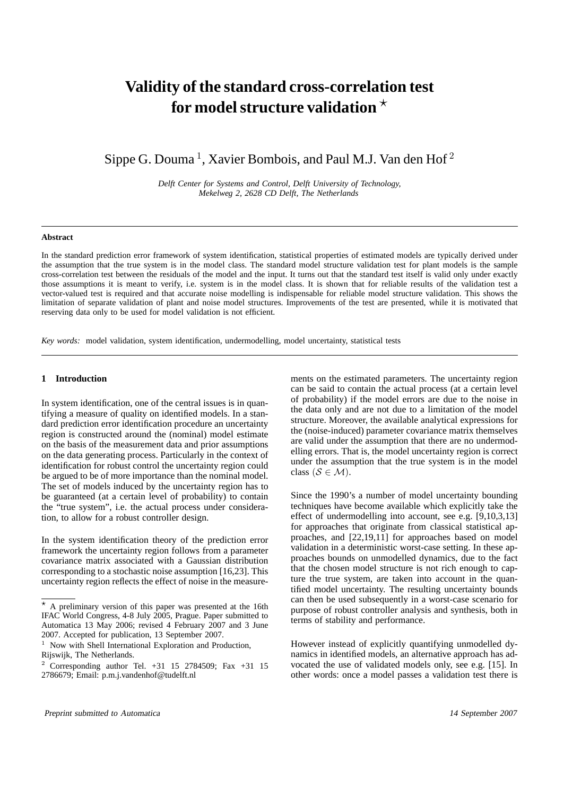# **Validity of the standard cross-correlation test for model structure validation**

Sippe G. Douma<sup>1</sup>, Xavier Bombois, and Paul M.J. Van den Hof<sup>2</sup>

*Delft Center for Systems and Control, Delft University of Technology, Mekelweg 2, 2628 CD Delft, The Netherlands*

#### **Abstract**

In the standard prediction error framework of system identification, statistical properties of estimated models are typically derived under the assumption that the true system is in the model class. The standard model structure validation test for plant models is the sample cross-correlation test between the residuals of the model and the input. It turns out that the standard test itself is valid only under exactly those assumptions it is meant to verify, i.e. system is in the model class. It is shown that for reliable results of the validation test a vector-valued test is required and that accurate noise modelling is indispensable for reliable model structure validation. This shows the limitation of separate validation of plant and noise model structures. Improvements of the test are presented, while it is motivated that reserving data only to be used for model validation is not efficient.

*Key words:* model validation, system identification, undermodelling, model uncertainty, statistical tests

## **1 Introduction**

In system identification, one of the central issues is in quantifying a measure of quality on identified models. In a standard prediction error identification procedure an uncertainty region is constructed around the (nominal) model estimate on the basis of the measurement data and prior assumptions on the data generating process. Particularly in the context of identification for robust control the uncertainty region could be argued to be of more importance than the nominal model. The set of models induced by the uncertainty region has to be guaranteed (at a certain level of probability) to contain the "true system", i.e. the actual process under consideration, to allow for a robust controller design.

In the system identification theory of the prediction error framework the uncertainty region follows from a parameter covariance matrix associated with a Gaussian distribution corresponding to a stochastic noise assumption [16,23]. This uncertainty region reflects the effect of noise in the measurements on the estimated parameters. The uncertainty region can be said to contain the actual process (at a certain level of probability) if the model errors are due to the noise in the data only and are not due to a limitation of the model structure. Moreover, the available analytical expressions for the (noise-induced) parameter covariance matrix themselves are valid under the assumption that there are no undermodelling errors. That is, the model uncertainty region is correct under the assumption that the true system is in the model class  $(S \in \mathcal{M})$ .

Since the 1990's a number of model uncertainty bounding techniques have become available which explicitly take the effect of undermodelling into account, see e.g. [9,10,3,13] for approaches that originate from classical statistical approaches, and [22,19,11] for approaches based on model validation in a deterministic worst-case setting. In these approaches bounds on unmodelled dynamics, due to the fact that the chosen model structure is not rich enough to capture the true system, are taken into account in the quantified model uncertainty. The resulting uncertainty bounds can then be used subsequently in a worst-case scenario for purpose of robust controller analysis and synthesis, both in terms of stability and performance.

However instead of explicitly quantifying unmodelled dynamics in identified models, an alternative approach has advocated the use of validated models only, see e.g. [15]. In other words: once a model passes a validation test there is

 $*$  A preliminary version of this paper was presented at the 16th IFAC World Congress, 4-8 July 2005, Prague. Paper submitted to Automatica 13 May 2006; revised 4 February 2007 and 3 June 2007. Accepted for publication, 13 September 2007.

<sup>&</sup>lt;sup>1</sup> Now with Shell International Exploration and Production, Rijswijk, The Netherlands.

<sup>2</sup> Corresponding author Tel. +31 15 2784509; Fax +31 15 2786679; Email: p.m.j.vandenhof@tudelft.nl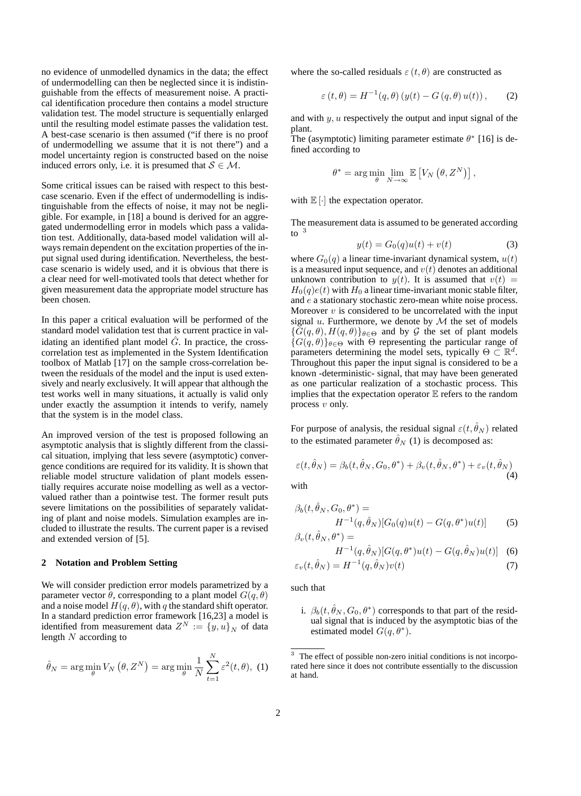no evidence of unmodelled dynamics in the data; the effect of undermodelling can then be neglected since it is indistinguishable from the effects of measurement noise. A practical identification procedure then contains a model structure validation test. The model structure is sequentially enlarged until the resulting model estimate passes the validation test. A best-case scenario is then assumed ("if there is no proof of undermodelling we assume that it is not there") and a model uncertainty region is constructed based on the noise induced errors only, i.e. it is presumed that  $S \in \mathcal{M}$ .

Some critical issues can be raised with respect to this bestcase scenario. Even if the effect of undermodelling is indistinguishable from the effects of noise, it may not be negligible. For example, in [18] a bound is derived for an aggregated undermodelling error in models which pass a validation test. Additionally, data-based model validation will always remain dependent on the excitation properties of the input signal used during identification. Nevertheless, the bestcase scenario is widely used, and it is obvious that there is a clear need for well-motivated tools that detect whether for given measurement data the appropriate model structure has been chosen.

In this paper a critical evaluation will be performed of the standard model validation test that is current practice in validating an identified plant model  $\hat{G}$ . In practice, the crosscorrelation test as implemented in the System Identification toolbox of Matlab [17] on the sample cross-correlation between the residuals of the model and the input is used extensively and nearly exclusively. It will appear that although the test works well in many situations, it actually is valid only under exactly the assumption it intends to verify, namely that the system is in the model class.

An improved version of the test is proposed following an asymptotic analysis that is slightly different from the classical situation, implying that less severe (asymptotic) convergence conditions are required for its validity. It is shown that reliable model structure validation of plant models essentially requires accurate noise modelling as well as a vectorvalued rather than a pointwise test. The former result puts severe limitations on the possibilities of separately validating of plant and noise models. Simulation examples are included to illustrate the results. The current paper is a revised and extended version of [5].

## **2 Notation and Problem Setting**

We will consider prediction error models parametrized by a parameter vector  $\theta$ , corresponding to a plant model  $G(q, \theta)$ and a noise model  $H(q, \theta)$ , with q the standard shift operator. In a standard prediction error framework [16,23] a model is<br>identified from measurement data  $Z^N := \{y, u\}_N$  of data<br>length N according to length N according to

$$
\hat{\theta}_N = \arg\min_{\theta} V_N(\theta, Z^N) = \arg\min_{\theta} \frac{1}{N} \sum_{t=1}^N \varepsilon^2(t, \theta), (1)
$$

where the so-called residuals  $\varepsilon(t, \theta)$  are constructed as

$$
\varepsilon(t,\theta) = H^{-1}(q,\theta) \left( y(t) - G(q,\theta) u(t) \right), \qquad (2)
$$

and with  $y, u$  respectively the output and input signal of the plant.

The (asymptotic) limiting parameter estimate  $\theta^*$  [16] is defined according to

$$
\theta^* = \arg\min_{\theta} \lim_{N \to \infty} \mathbb{E}\left[V_N\left(\theta, Z^N\right)\right],
$$

with  $\mathbb{E}[\cdot]$  the expectation operator.

The measurement data is assumed to be generated according to <sup>3</sup>

$$
y(t) = G_0(q)u(t) + v(t)
$$
 (3)

where  $G_0(q)$  a linear time-invariant dynamical system,  $u(t)$  is a measured input sequence, and  $v(t)$  denotes an additional is a measured input sequence, and  $v(t)$  denotes an additional unknown contribution to  $y(t)$ . It is assumed that  $v(t)$  =  $H_0(q)e(t)$  with  $H_0$  a linear time-invariant monic stable filter, and e a stationary stochastic zero-mean white noise process. Moreover  $v$  is considered to be uncorrelated with the input signal  $u$ . Furthermore, we denote by  $\mathcal M$  the set of models  $\{G(q, \theta), H(q, \theta)\}\$ <sub>θ∈Θ</sub> and by G the set of plant models  ${G(q, \theta)}_{\theta \in \Theta}$  with  $\Theta$  representing the particular range of parameters determining the model sets, typically  $\Theta \subset \mathbb{R}^d$ . Throughout this paper the input signal is considered to be a known -deterministic- signal, that may have been generated as one particular realization of a stochastic process. This implies that the expectation operator  $E$  refers to the random process v only.

For purpose of analysis, the residual signal  $\varepsilon(t, \hat{\theta}_N)$  related to the estimated parameter  $\hat{\theta}_N$  (1) is decomposed as:

$$
\varepsilon(t, \hat{\theta}_N) = \beta_b(t, \hat{\theta}_N, G_0, \theta^*) + \beta_v(t, \hat{\theta}_N, \theta^*) + \varepsilon_v(t, \hat{\theta}_N)
$$
\n(4)

with

$$
\beta_b(t, \theta_N, G_0, \theta^*) =
$$
  
\n
$$
H^{-1}(q, \hat{\theta}_N)[G_0(q)u(t) - G(q, \theta^*)u(t)]
$$
\n(5)  
\n
$$
\beta_v(t, \hat{\theta}_N, \theta^*) =
$$

$$
H^{-1}(q, \hat{\theta}_N)[G(q, \theta^*)u(t) - G(q, \hat{\theta}_N)u(t)] \quad (6)
$$

$$
\varepsilon_v(t, \hat{\theta}_N) = H^{-1}(q, \hat{\theta}_N)v(t) \tag{7}
$$

such that

i.  $\beta_b(t, \hat{\theta}_N, G_0, \theta^*)$  corresponds to that part of the residual signal that is induced by the asymptotic bias of the estimated model  $G(q, \theta^*)$ .

<sup>&</sup>lt;sup>3</sup> The effect of possible non-zero initial conditions is not incorporated here since it does not contribute essentially to the discussion at hand.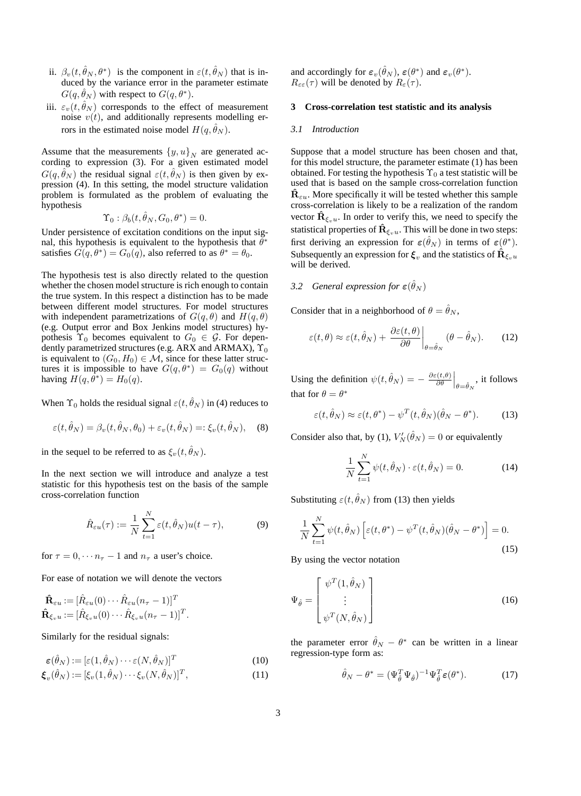- ii.  $\beta_v(t, \theta_N, \theta^*)$  is the component in  $\varepsilon(t, \theta_N)$  that is induced by the variance error in the parameter estimate  $G(q, \hat{\theta}_N)$  with respect to  $G(q, \theta^*)$ .
- iii.  $\varepsilon_v(t, \hat{\theta}_N)$  corresponds to the effect of measurement noise  $v(t)$ , and additionally represents modelling errors in the estimated noise model  $H(q, \theta_N)$ .

Assume that the measurements  $\{y, u\}_N$  are generated according to expression (3). For a given estimated model  $G(q, \hat{\theta}_N)$  the residual signal  $\varepsilon(t, \hat{\theta}_N)$  is then given by expression (4). In this setting, the model structure validation problem is formulated as the problem of evaluating the hypothesis

$$
\Upsilon_0 : \beta_b(t,\theta_N,G_0,\theta^*) = 0.
$$

 $\Upsilon_0 : \beta_b(t, \theta_N, G_0, \theta^*) = 0.$ <br>Under persistence of excitation conditions on the input signal, this hypothesis is equivalent to the hypothesis that  $\theta^*$ satisfies  $G(q, \theta^*) = G_0(q)$ , also referred to as  $\theta^* = \theta_0$ .

The hypothesis test is also directly related to the question whether the chosen model structure is rich enough to contain the true system. In this respect a distinction has to be made between different model structures. For model structures with independent parametrizations of  $G(q, \theta)$  and  $H(q, \theta)$ (e.g. Output error and Box Jenkins model structures) hypothesis  $\Upsilon_0$  becomes equivalent to  $G_0 \in \mathcal{G}$ . For dependently parametrized structures (e.g. ARX and ARMAX),  $\Upsilon_0$ is equivalent to  $(G_0, H_0) \in \mathcal{M}$ , since for these latter structures it is impossible to have  $G(q, \theta^*) = G_0(q)$  without having  $H(q, \theta^*) = H_0(q)$ .

When  $\Upsilon_0$  holds the residual signal  $\varepsilon(t, \hat{\theta}_N)$  in (4) reduces to

$$
\varepsilon(t, \hat{\theta}_N) = \beta_v(t, \hat{\theta}_N, \theta_0) + \varepsilon_v(t, \hat{\theta}_N) =: \xi_v(t, \hat{\theta}_N), \quad (8)
$$

in the sequel to be referred to as  $\xi_v(t, \hat{\theta}_N)$ .

In the next section we will introduce and analyze a test statistic for this hypothesis test on the basis of the sample cross-correlation function

$$
\hat{R}_{\varepsilon u}(\tau) := \frac{1}{N} \sum_{t=1}^{N} \varepsilon(t, \hat{\theta}_N) u(t - \tau), \tag{9}
$$

for  $\tau = 0, \dots n_{\tau} - 1$  and  $n_{\tau}$  a user's choice.

For ease of notation we will denote the vectors

$$
\hat{\mathbf{R}}_{\varepsilon u} := [\hat{R}_{\varepsilon u}(0) \cdots \hat{R}_{\varepsilon u}(n_{\tau} - 1)]^T
$$
  

$$
\hat{\mathbf{R}}_{\xi_v u} := [\hat{R}_{\xi_v u}(0) \cdots \hat{R}_{\xi_v u}(n_{\tau} - 1)]^T.
$$

Similarly for the residual signals:

$$
\begin{aligned}\n\boldsymbol{\varepsilon}(\hat{\theta}_N) &:= [\boldsymbol{\varepsilon}(1, \hat{\theta}_N) \cdots \boldsymbol{\varepsilon}(N, \hat{\theta}_N)]^T \\
\boldsymbol{\xi}_v(\hat{\theta}_N) &:= [\xi_v(1, \hat{\theta}_N) \cdots \xi_v(N, \hat{\theta}_N)]^T,\n\end{aligned} \tag{10}
$$

and accordingly for  $\varepsilon_v(\hat{\theta}_N)$ ,  $\varepsilon(\theta^*)$  and  $\varepsilon_v(\theta^*)$ .  $R_{\varepsilon\varepsilon}(\tau)$  will be denoted by  $R_{\varepsilon}(\tau)$ .

## **3 Cross-correlation test statistic and its analysis**

#### *3.1 Introduction*

Suppose that a model structure has been chosen and that, for this model structure, the parameter estimate (1) has been obtained. For testing the hypothesis  $\Upsilon_0$  a test statistic will be used that is based on the sample cross-correlation function  $\hat{\bf R}_{\varepsilon u}$ . More specifically it will be tested whether this sample cross-correlation is likely to be a realization of the random vector  $\hat{\mathbf{R}}_{\xi,u}$ . In order to verify this, we need to specify the statistical properties of  $\mathbf{R}_{\xi_v u}$ . This will be done in two steps: first deriving an expression for  $\varepsilon(\hat{\theta}_N)$  in terms of  $\varepsilon(\theta^*)$ . Subsequently an expression for  $\xi_v$  and the statistics of  $\hat{\mathbf{R}}_{\xi_v}$ will be derived.

# *3.2 General expression for*  $\varepsilon(\hat{\theta}_N)$

Consider that in a neighborhood of  $\theta = \hat{\theta}_N$ ,

$$
\varepsilon(t,\theta) \approx \varepsilon(t,\hat{\theta}_N) + \left. \frac{\partial \varepsilon(t,\theta)}{\partial \theta} \right|_{\theta = \hat{\theta}_N} (\theta - \hat{\theta}_N). \tag{12}
$$

Using the definition  $\psi(t, \hat{\theta}_N) = -\frac{\partial \varepsilon(t, \theta)}{\partial \theta}\Big|_{\theta = \hat{\theta}_N}$ , it follows that for  $\theta = \theta^*$ 

$$
\varepsilon(t,\hat{\theta}_N) \approx \varepsilon(t,\theta^*) - \psi^T(t,\hat{\theta}_N)(\hat{\theta}_N - \theta^*).
$$
 (13)

Consider also that, by (1),  $V_N'(\theta_N) = 0$  or equivalently

$$
\frac{1}{N} \sum_{t=1}^{N} \psi(t, \hat{\theta}_N) \cdot \varepsilon(t, \hat{\theta}_N) = 0.
$$
 (14)

Substituting  $\varepsilon(t, \hat{\theta}_N)$  from (13) then yields

$$
\frac{1}{N} \sum_{t=1}^{N} \psi(t, \hat{\theta}_N) \left[ \varepsilon(t, \theta^*) - \psi^T(t, \hat{\theta}_N)(\hat{\theta}_N - \theta^*) \right] = 0.
$$
\n(15)

By using the vector notation

$$
\Psi_{\hat{\theta}} = \begin{bmatrix} \psi^T(1, \hat{\theta}_N) \\ \vdots \\ \psi^T(N, \hat{\theta}_N) \end{bmatrix}
$$
\n(16)

the parameter error  $\hat{\theta}_N - \theta^*$  can be written in a linear regression-type form as:

$$
\hat{\theta}_N - \theta^* = (\Psi_{\hat{\theta}}^T \Psi_{\hat{\theta}})^{-1} \Psi_{\hat{\theta}}^T \varepsilon(\theta^*).
$$
 (17)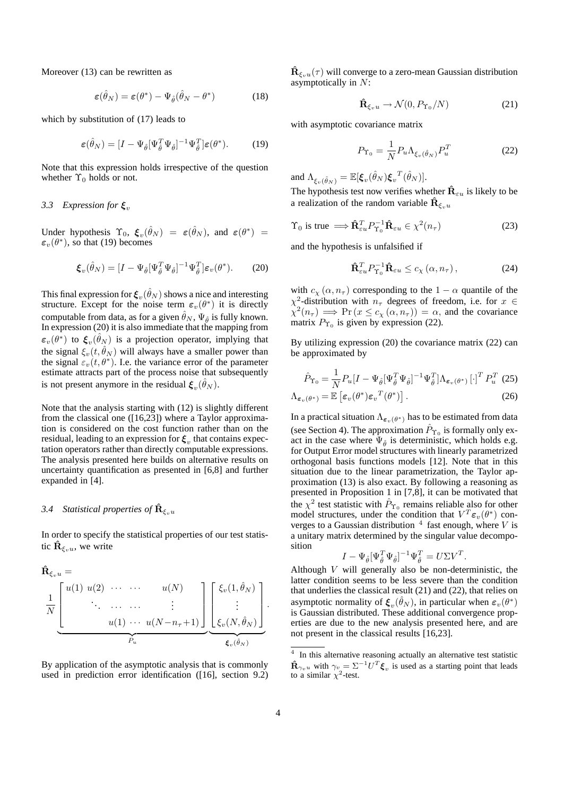Moreover (13) can be rewritten as

$$
\varepsilon(\hat{\theta}_N) = \varepsilon(\theta^*) - \Psi_{\hat{\theta}}(\hat{\theta}_N - \theta^*)
$$
 (18)

which by substitution of (17) leads to

$$
\varepsilon(\hat{\theta}_N) = [I - \Psi_{\hat{\theta}}[\Psi_{\hat{\theta}}^T \Psi_{\hat{\theta}}]^{-1} \Psi_{\hat{\theta}}^T] \varepsilon(\theta^*).
$$
 (19)

Note that this expression holds irrespective of the question whether  $\Upsilon_0$  holds or not.

# *3.3 Expression for ξ*<sup>v</sup>

Under hypothesis  $\Upsilon_0$ ,  $\xi_v(\hat{\theta}_N) = \varepsilon(\hat{\theta}_N)$ , and  $\varepsilon(\theta^*) =$  $\varepsilon_v(\theta^*)$ , so that (19) becomes

$$
\boldsymbol{\xi}_v(\hat{\theta}_N) = [I - \Psi_{\hat{\theta}}[\Psi_{\hat{\theta}}^T \Psi_{\hat{\theta}}]^{-1} \Psi_{\hat{\theta}}^T] \varepsilon_v(\theta^*).
$$
 (20)

This final expression for  $\xi_v(\hat{\theta}_N)$  shows a nice and interesting structure. Except for the noise term  $\varepsilon_v(\theta^*)$  it is directly computable from data, as for a given  $\theta_N$ ,  $\Psi_{\hat{\theta}}$  is fully known.<br>In expression (20) it is also immediate that the mapping from In expression (20) it is also immediate that the mapping from  $\varepsilon_v(\theta^*)$  to  $\xi_v(\theta_N)$  is a projection operator, implying that the signal  $\xi_v(t, \hat{\theta}_N)$  will always have a smaller power than the signal  $\varepsilon_v(t, \theta^*)$ . I.e. the variance error of the parameter estimate attracts part of the process noise that subsequently is not present anymore in the residual  $\boldsymbol{\xi}_v(\hat{\theta}_N)$ .

Note that the analysis starting with (12) is slightly different from the classical one ([16,23]) where a Taylor approximation is considered on the cost function rather than on the residual, leading to an expression for  $\xi$ <sub>n</sub> that contains expectation operators rather than directly computable expressions. The analysis presented here builds on alternative results on uncertainty quantification as presented in [6,8] and further expanded in [4].

# *3.4 Statistical properties of* $\hat{\mathbf{R}}_{\xi}$

In order to specify the statistical properties of our test statistic  $\hat{\mathbf{R}}_{\xi_n u}$ , we write

$$
\hat{\mathbf{R}}_{\xi_v u} = \underbrace{\frac{1}{N} \begin{bmatrix} u(1) & u(2) & \cdots & \cdots & u(N) \\ \vdots & \ddots & \cdots & \cdots & \vdots \\ u(1) & \cdots & u(N-n_{\tau}+1) \end{bmatrix}}_{P_u} \underbrace{\begin{bmatrix} \xi_v(1, \hat{\theta}_N) \\ \vdots \\ \xi_v(N, \hat{\theta}_N) \end{bmatrix}}_{\xi_v(\hat{\theta}_N)}.
$$

By application of the asymptotic analysis that is commonly used in prediction error identification ([16], section 9.2)  $\mathbf{R}_{\xi_n u}(\tau)$  will converge to a zero-mean Gaussian distribution asymptotically in N:

$$
\hat{\mathbf{R}}_{\xi_v u} \to \mathcal{N}(0, P_{\Upsilon_0}/N) \tag{21}
$$

with asymptotic covariance matrix

$$
P_{\Upsilon_0} = \frac{1}{N} P_u \Lambda_{\xi_v(\hat{\theta}_N)} P_u^T
$$
 (22)

and  $\Lambda_{\xi_v(\hat{\theta}_N)} = \mathbb{E}[\xi_v(\hat{\theta}_N)\xi_v^T(\hat{\theta}_N)].$ 

The hypothesis test now verifies whether  $\hat{\mathbf{R}}_{\varepsilon u}$  is likely to be a realization of the random variable  $\hat{\mathbf{R}}_{\xi, u}$ 

$$
\Upsilon_0 \text{ is true } \Longrightarrow \hat{\mathbf{R}}_{\varepsilon u}^T P_{\Upsilon_0}^{-1} \hat{\mathbf{R}}_{\varepsilon u} \in \chi^2(n_\tau) \tag{23}
$$

and the hypothesis is unfalsified if

$$
\hat{\mathbf{R}}_{\varepsilon u}^T P_{\Upsilon_0}^{-1} \hat{\mathbf{R}}_{\varepsilon u} \le c_{\chi} (\alpha, n_{\tau}), \tag{24}
$$

with  $c_{\chi}(\alpha, n_{\tau})$  corresponding to the  $1 - \alpha$  quantile of the  $\chi^2$ -distribution with  $n_\tau$  degrees of freedom, i.e. for  $x \in$  $\chi^2(n_\tau) \implies \Pr(x \le c_\chi(\alpha, n_\tau)) = \alpha$ , and the covariance matrix  $P_{\Upsilon_0}$  is given by expression (22).

By utilizing expression (20) the covariance matrix (22) can be approximated by

$$
\hat{P}_{\Upsilon_0} = \frac{1}{N} P_u [I - \Psi_{\hat{\theta}} [\Psi_{\hat{\theta}}^T \Psi_{\hat{\theta}}]^{-1} \Psi_{\hat{\theta}}^T] \Lambda_{\varepsilon_v(\theta^*)} [\cdot]^T P_u^T (25)
$$

$$
\Lambda_{\boldsymbol{\varepsilon}_v(\theta^*)} = \mathbb{E}\left[\boldsymbol{\varepsilon}_v(\theta^*)\boldsymbol{\varepsilon}_v^T(\theta^*)\right].
$$
\n(26)

In a practical situation  $\Lambda_{\epsilon_v(\theta^*)}$  has to be estimated from data (see Section 4). The approximation  $\hat{P}_{\Upsilon_0}$  is formally only exact in the case where  $\Psi_{\hat{\theta}}$  is deterministic, which holds e.g.<br>for Output Error model structures with linearly parametrized for Output Error model structures with linearly parametrized orthogonal basis functions models [12]. Note that in this situation due to the linear parametrization, the Taylor approximation (13) is also exact. By following a reasoning as presented in Proposition 1 in [7,8], it can be motivated that the  $\chi^2$  test statistic with  $\hat{P}_{\Upsilon_0}$  remains reliable also for other model structures, under the condition that  $V^T \varepsilon_v(\theta^*)$  converges to a Gaussian distribution  $4$  fast enough, where V is a unitary matrix determined by the singular value decomposition

$$
I - \Psi_{\hat{\theta}} [\Psi_{\hat{\theta}}^T \Psi_{\hat{\theta}}]^{-1} \Psi_{\hat{\theta}}^T = U \Sigma V^T.
$$

 $I - \Psi_{\hat{\theta}} [\Psi_{\hat{\theta}}^T \Psi_{\hat{\theta}}]^{-1} \Psi_{\hat{\theta}}^T = U \Sigma V^T$ .<br>Although V will generally also be non-deterministic, the latter condition seems to be less severe than the condition that underlies the classical result (21) and (22), that relies on asymptotic normality of  $\xi_v(\hat{\theta}_N)$ , in particular when  $\varepsilon_v(\theta^*)$ is Gaussian distributed. These additional convergence properties are due to the new analysis presented here, and are not present in the classical results [16,23].

<sup>&</sup>lt;sup>4</sup> In this alternative reasoning actually an alternative test statistic  $\mathbf{\hat{R}}_{\gamma_vu}$  with  $\gamma_{v} = \Sigma^{-1}U^T \boldsymbol{\xi}_v$  is used as a starting point that leads to a similar  $\chi^2$ -test.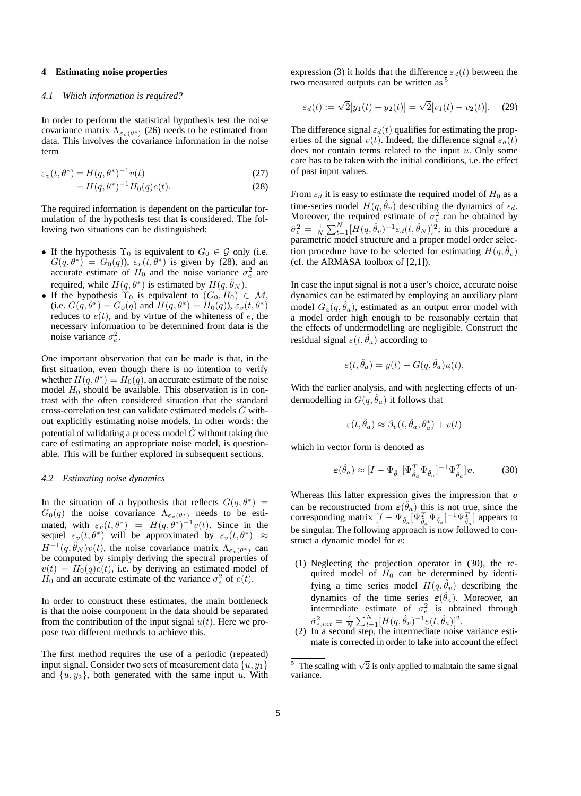# **4 Estimating noise properties**

# *4.1 Which information is required?*

In order to perform the statistical hypothesis test the noise covariance matrix  $\Lambda_{\epsilon_v(\theta^*)}$  (26) needs to be estimated from data. This involves the covariance information in the noise term

$$
\varepsilon_v(t,\theta^*) = H(q,\theta^*)^{-1}v(t)
$$
\n(27)

$$
=H(q, \theta^*)^{-1}H_0(q)e(t).
$$
 (28)

The required information is dependent on the particular formulation of the hypothesis test that is considered. The following two situations can be distinguished:

- If the hypothesis  $\Upsilon_0$  is equivalent to  $G_0 \in \mathcal{G}$  only (i.e.  $G(q, \theta^*) = G_0(q)$ ,  $\varepsilon_v(t, \theta^*)$  is given by (28), and an accurate estimate of  $H_0$  and the noise variance  $\sigma_e^2$  are required, while  $H(q, \theta^*)$  is estimated by  $H(q, \hat{\theta}_N)$ .
- If the hypothesis  $\Upsilon_0$  is equivalent to  $(G_0, H_0) \in \mathcal{M}$ , (i.e.  $G(q, \theta^*) = G_0(q)$  and  $H(q, \theta^*) = H_0(q)$ ),  $\varepsilon_v(t, \theta^*)$ reduces to  $e(t)$ , and by virtue of the whiteness of  $e$ , the necessary information to be determined from data is the noise variance  $\sigma_e^2$ .

One important observation that can be made is that, in the first situation, even though there is no intention to verify whether  $H(q, \theta^*) = H_0(q)$ , an accurate estimate of the noise model  $H_0$  should be available. This observation is in contrast with the often considered situation that the standard cross-correlation test can validate estimated models  $\tilde{G}$  without explicitly estimating noise models. In other words: the potential of validating a process model  $\hat{G}$  without taking due care of estimating an appropriate noise model, is questionable. This will be further explored in subsequent sections.

#### *4.2 Estimating noise dynamics*

In the situation of a hypothesis that reflects  $G(q, \theta^*) = G_0(q)$  the noise covariance  $\Lambda_{\epsilon_v(\theta^*)}$  needs to be esti- $G_0(q)$  the noise covariance  $\Lambda_{\varepsilon_v(\theta^*)}$  needs to be esti-<br>mated with  $\varepsilon$  (*t*  $\theta^*$ ) –  $H(a \theta^*)^{-1}u(t)$  Since in the mated, with  $\varepsilon_v(t,\theta^*) = H(q,\theta^*)^{-1}v(t)$ . Since in the sequel  $\varepsilon_v(t,\theta^*)$  will be approximated by  $\varepsilon_v(t,\theta^*) \approx$ sequel  $\varepsilon_v(t, \theta^*)$  will be approximated by  $\varepsilon_v(t, \theta^*) \approx$  $H^{-1}(q, \hat{\theta}_N) v(t)$ , the noise covariance matrix  $\Lambda_{\epsilon_n(\theta^*)}$  can be computed by simply deriving the spectral properties of  $v(t) = H_0(q)e(t)$ , i.e. by deriving an estimated model of  $H_0$  and an accurate estimate of the variance  $\sigma_e^2$  of  $e(t)$ .

In order to construct these estimates, the main bottleneck is that the noise component in the data should be separated from the contribution of the input signal  $u(t)$ . Here we propose two different methods to achieve this.

The first method requires the use of a periodic (repeated) input signal. Consider two sets of measurement data  $\{u, y_1\}$ and  $\{u, y_2\}$ , both generated with the same input u. With expression (3) it holds that the difference  $\varepsilon_d(t)$  between the two measured outputs can be written as <sup>5</sup>

$$
\varepsilon_d(t) := \sqrt{2}[y_1(t) - y_2(t)] = \sqrt{2}[v_1(t) - v_2(t)].
$$
 (29)

The difference signal  $\varepsilon_d(t)$  qualifies for estimating the properties of the signal  $v(t)$ . Indeed, the difference signal  $\varepsilon_d(t)$ does not contain terms related to the input  $u$ . Only some care has to be taken with the initial conditions, i.e. the effect of past input values.

From  $\varepsilon_d$  it is easy to estimate the required model of  $H_0$  as a time-series model  $H(q, \theta_v)$  describing the dynamics of  $\epsilon_d$ .<br>Moreover, the required estimate of  $\sigma_e^2$  can be obtained by  $\hat{\sigma}_e^2 = \frac{1}{N} \sum_{t=1}^{N} [H(q, \hat{\theta}_v)^{-1} \varepsilon_d(t, \hat{\theta}_N)]^2$ ; in this procedure a parametric model structure and a proper model order selection procedure have to be selected for estimating  $H(q, \hat{\theta}_v)$ (cf. the ARMASA toolbox of  $[2,1]$ ).

In case the input signal is not a user's choice, accurate noise dynamics can be estimated by employing an auxiliary plant model  $G_a(q, \hat{\theta}_a)$ , estimated as an output error model with a model order high enough to be reasonably certain that the effects of undermodelling are negligible. Construct the residual signal  $\varepsilon(t, \hat{\theta}_a)$  according to

$$
\varepsilon(t, \hat{\theta}_a) = y(t) - G(q, \hat{\theta}_a)u(t).
$$

With the earlier analysis, and with neglecting effects of undermodelling in  $G(q, \hat{\theta}_a)$  it follows that

$$
\varepsilon(t, \hat{\theta}_a) \approx \beta_v(t, \hat{\theta}_a, \theta_a^*) + v(t)
$$

which in vector form is denoted as

$$
\varepsilon(\hat{\theta}_a) \approx [I - \Psi_{\hat{\theta}_a} [\Psi_{\hat{\theta}_a}^T \Psi_{\hat{\theta}_a}]^{-1} \Psi_{\hat{\theta}_a}^T] \nu. \tag{30}
$$

Whereas this latter expression gives the impression that *v* can be reconstructed from  $\varepsilon(\theta_a)$  this is not true, since the corresponding matrix  $[I - \Psi_{\hat{\sigma}}] [\Psi_{\hat{\sigma}}^T \Psi_{\hat{\sigma}}]^{-1} \Psi_{\hat{\sigma}}^T]$  appears to corresponding matrix  $[I - \Psi_{\hat{\theta}_a}^{\dagger} [\Psi_{\hat{\theta}_a}^T \Psi_{\hat{\theta}_a}]^{-1} \Psi_{\hat{\theta}_a}^T]$  appears to be singular. The following approach is now followed to construct a dynamic model for v:

- (1) Neglecting the projection operator in (30), the required model of  $H_0$  can be determined by identifying a time series model  $H(q, \hat{\theta}_v)$  describing the dynamics of the time series  $\varepsilon(\hat{\theta}_a)$ . Moreover, an dynamics of the time series  $\varepsilon(\theta_a)$ . Moreover, an intermediate estimate of  $\sigma_e^2$  is obtained through  $\hat{\sigma}_{e, int}^2 = \frac{1}{N} \sum_{t=1}^{N} [H(q, \hat{\theta}_v)^{-1} \varepsilon(t, \hat{\theta}_a)]^2$ .<br>In a second step the intermediate noise
- (2) In a second step, the intermediate noise variance estimate is corrected in order to take into account the effect

<sup>&</sup>lt;sup>5</sup> The scaling with  $\sqrt{2}$  is only applied to maintain the same signal variance.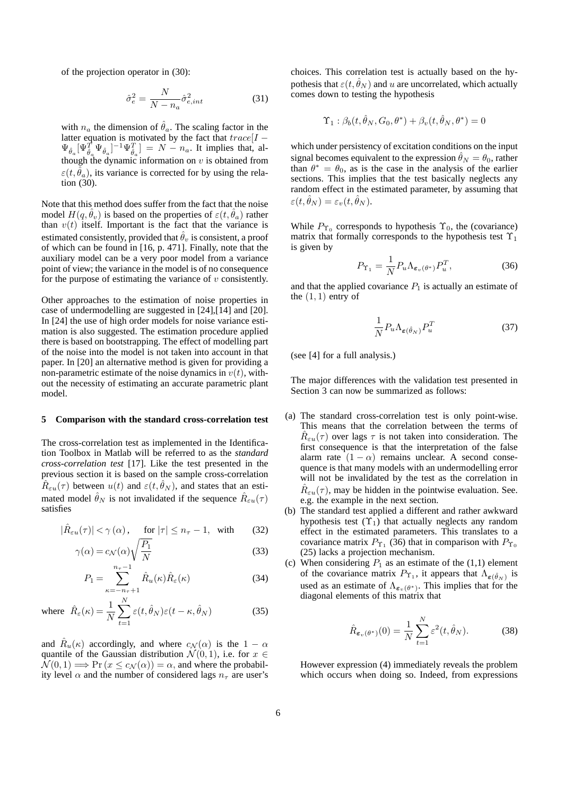of the projection operator in (30):

$$
\hat{\sigma}_e^2 = \frac{N}{N - n_a} \hat{\sigma}_{e, int}^2 \tag{31}
$$

with  $n_a$  the dimension of  $\hat{\theta}_a$ . The scaling factor in the latter equation is motivated by the fact that  $trace[I - \Psi_{\hat{\alpha}} | \Psi_{\hat{\alpha}} |^{-1} \Psi_{\hat{\alpha}}] = N - n_{\alpha}$ . It implies that, al- $\Psi_{\hat{\theta}_a}[\Psi_{\hat{\theta}_a}^T \Psi_{\hat{\theta}_a}]^{-1} \Psi_{\hat{\theta}_a}^T] = N - n_a$ . It implies that, although the dynamic information on  $v$  is obtained from  $\varepsilon(t, \hat{\theta}_a)$ , its variance is corrected for by using the relation (30).

Note that this method does suffer from the fact that the noise model  $H(q, \hat{\theta}_v)$  is based on the properties of  $\varepsilon(t, \hat{\theta}_a)$  rather than  $v(t)$  itself. Important is the fact that the variance is estimated consistently, provided that  $\hat{\theta}_v$  is consistent, a proof of which can be found in [16, p. 471]. Finally, note that the auxiliary model can be a very poor model from a variance point of view; the variance in the model is of no consequence for the purpose of estimating the variance of  $v$  consistently.

Other approaches to the estimation of noise properties in case of undermodelling are suggested in [24],[14] and [20]. In [24] the use of high order models for noise variance estimation is also suggested. The estimation procedure applied there is based on bootstrapping. The effect of modelling part of the noise into the model is not taken into account in that paper. In [20] an alternative method is given for providing a non-parametric estimate of the noise dynamics in  $v(t)$ , without the necessity of estimating an accurate parametric plant model.

#### **5 Comparison with the standard cross-correlation test**

The cross-correlation test as implemented in the Identification Toolbox in Matlab will be referred to as the *standard cross-correlation test* [17]. Like the test presented in the previous section it is based on the sample cross-correlation  $R_{\varepsilon u}(\tau)$  between  $u(t)$  and  $\varepsilon(t, \theta_N)$ , and states that an estimated model  $\hat{\theta}_N$  is not invalidated if the sequence  $\hat{R}_{\varepsilon u}(\tau)$ satisfies

$$
|\hat{R}_{\varepsilon u}(\tau)| < \gamma(\alpha), \quad \text{for } |\tau| \le n_{\tau} - 1, \text{ with } (32)
$$

$$
\gamma(\alpha) = c_{\mathcal{N}}(\alpha) \sqrt{\frac{P_1}{N}}
$$
\n(33)

$$
P_1 = \sum_{\kappa=-n_{\tau}+1}^{n_{\tau}-1} \hat{R}_u(\kappa) \hat{R}_{\varepsilon}(\kappa)
$$
 (34)

where 
$$
\hat{R}_{\varepsilon}(\kappa) = \frac{1}{N} \sum_{t=1}^{N} \varepsilon(t, \hat{\theta}_N) \varepsilon(t - \kappa, \hat{\theta}_N)
$$
 (35)

 $\lambda$ 

and  $\hat{R}_u(\kappa)$  accordingly, and where  $c_N(\alpha)$  is the  $1 - \alpha$ quantile of the Gaussian distribution  $\mathcal{N}(0, 1)$ , i.e. for  $x \in$  $\overline{\mathcal{N}}(0,1) \Longrightarrow \Pr(x \leq c_{\mathcal{N}}(\alpha)) = \alpha$ , and where the probability level  $\alpha$  and the number of considered lags  $n_{\tau}$  are user's choices. This correlation test is actually based on the hypothesis that  $\varepsilon(t, \theta_N)$  and u are uncorrelated, which actually comes down to testing the hypothesis

$$
\Upsilon_1 : \beta_b(t, \hat{\theta}_N, G_0, \theta^*) + \beta_v(t, \hat{\theta}_N, \theta^*) = 0
$$

which under persistency of excitation conditions on the input signal becomes equivalent to the expression  $\hat{\theta}_N = \theta_0$ , rather than  $\theta^* = \theta_0$ , as is the case in the analysis of the earlier sections. This implies that the test basically neglects any random effect in the estimated parameter, by assuming that  $\varepsilon(t, \hat{\theta}_N) = \varepsilon_v(t, \hat{\theta}_N).$ 

While  $P_{\Upsilon_0}$  corresponds to hypothesis  $\Upsilon_0$ , the (covariance) matrix that formally corresponds to the hypothesis test  $\Upsilon_1$ is given by

$$
P_{\Upsilon_1} = \frac{1}{N} P_u \Lambda_{\varepsilon_v(\theta^*)} P_u^T,
$$
\n(36)

and that the applied covariance  $P_1$  is actually an estimate of the  $(1, 1)$  entry of

$$
\frac{1}{N} P_u \Lambda_{\varepsilon(\hat{\theta}_N)} P_u^T \tag{37}
$$

(see [4] for a full analysis.)

The major differences with the validation test presented in Section 3 can now be summarized as follows:

- (a) The standard cross-correlation test is only point-wise. This means that the correlation between the terms of  $R_{\varepsilon u}(\tau)$  over lags  $\tau$  is not taken into consideration. The first consequence is that the interpretation of the false alarm rate  $(1 - \alpha)$  remains unclear. A second consequence is that many models with an undermodelling error will not be invalidated by the test as the correlation in  $\hat{R}_{\varepsilon u}(\tau)$ , may be hidden in the pointwise evaluation. See. e.g. the example in the next section.
- (b) The standard test applied a different and rather awkward hypothesis test  $(\Upsilon_1)$  that actually neglects any random effect in the estimated parameters. This translates to a covariance matrix  $P_{\Upsilon_1}$  (36) that in comparison with  $P_{\Upsilon_0}$ (25) lacks a projection mechanism.
- (c) When considering  $P_1$  as an estimate of the (1,1) element of the covariance matrix  $P_{\Upsilon_1}$ , it appears that  $\Lambda_{\varepsilon(\hat{\theta}_N)}$  is used as an estimate of  $\Lambda_{\epsilon_v(\theta^*)}$ . This implies that for the diagonal elements of this matrix that

$$
\hat{R}_{\varepsilon_v(\theta^*)}(0) = \frac{1}{N} \sum_{t=1}^N \varepsilon^2(t, \hat{\theta}_N).
$$
 (38)

However expression (4) immediately reveals the problem which occurs when doing so. Indeed, from expressions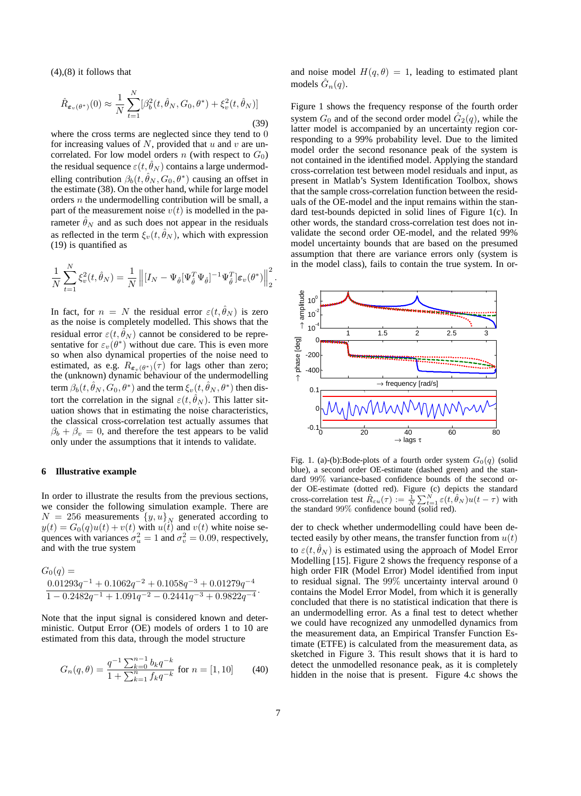$(4)$ , $(8)$  it follows that

$$
\hat{R}_{\varepsilon_v(\theta^*)}(0) \approx \frac{1}{N} \sum_{t=1}^N [\beta_b^2(t, \hat{\theta}_N, G_0, \theta^*) + \xi_v^2(t, \hat{\theta}_N)]
$$
\n(39)

where the cross terms are neglected since they tend to 0 for increasing values of  $N$ , provided that  $u$  and  $v$  are uncorrelated. For low model orders n (with respect to  $G_0$ ) the residual sequence  $\varepsilon(t, \theta_N)$  contains a large undermodelling contribution  $\beta_b(t, \hat{\theta}_N, G_0, \theta^*)$  causing an offset in the estimate (38). On the other hand, while for large model orders  $n$  the undermodelling contribution will be small, a part of the measurement noise  $v(t)$  is modelled in the parameter  $\hat{\theta}_N$  and as such does not appear in the residuals as reflected in the term  $\xi_v(t, \hat{\theta}_N)$ , which with expression (19) is quantified as

$$
\frac{1}{N}\sum_{t=1}^N \xi_v^2(t,\hat{\theta}_N) = \frac{1}{N} \left\| [I_N - \Psi_{\hat{\theta}}[\Psi_{\hat{\theta}}^T \Psi_{\hat{\theta}}]^{-1} \Psi_{\hat{\theta}}^T] \varepsilon_v(\theta^*) \right\|_2^2.
$$

In fact, for  $n = N$  the residual error  $\varepsilon(t, \theta_N)$  is zero as the noise is completely modelled. This shows that the residual error  $\varepsilon(t, \hat{\theta}_N)$  cannot be considered to be representative for  $\varepsilon_v(\theta^*)$  without due care. This is even more so when also dynamical properties of the noise need to estimated, as e.g.  $R_{\epsilon_v(\theta^*)}(\tau)$  for lags other than zero; the (unknown) dynamic behaviour of the undermodelling term  $\beta_b(t, \hat{\theta}_N, G_0, \theta^*)$  and the term  $\xi_v(t, \hat{\theta}_N, \theta^*)$  then distort the correlation in the signal  $\varepsilon(t, \hat{\theta}_N)$ . This latter situation shows that in estimating the noise characteristics, the classical cross-correlation test actually assumes that  $\beta_b + \beta_v = 0$ , and therefore the test appears to be valid only under the assumptions that it intends to validate.

# **6 Illustrative example**

In order to illustrate the results from the previous sections, we consider the following simulation example. There are  $N = 256$  measurements  $\{y, u\}_N$  generated according to  $y(t) = G_0(q)u(t) + v(t)$  with  $u(t)$  and  $v(t)$  white noise sequences with variances  $\sigma_u^2 = 1$  and  $\sigma_v^2 = 0.09$ , respectively, and with the true system and with the true system

$$
G_0(q) =
$$
  
\n
$$
\frac{0.01293q^{-1} + 0.1062q^{-2} + 0.1058q^{-3} + 0.01279q^{-4}}{1 - 0.2482q^{-1} + 1.091q^{-2} - 0.2441q^{-3} + 0.9822q^{-4}}.
$$

Note that the input signal is considered known and deterministic. Output Error (OE) models of orders 1 to 10 are estimated from this data, through the model structure

$$
G_n(q,\theta) = \frac{q^{-1} \sum_{k=0}^{n-1} b_k q^{-k}}{1 + \sum_{k=1}^n f_k q^{-k}} \text{ for } n = [1, 10] \qquad (40)
$$

and noise model  $H(q, \theta) = 1$ , leading to estimated plant models  $G_n(q)$ .

Figure 1 shows the frequency response of the fourth order system  $G_0$  and of the second order model  $\hat{G}_2(q)$ , while the latter model is accompanied by an uncertainty region corresponding to a 99% probability level. Due to the limited model order the second resonance peak of the system is not contained in the identified model. Applying the standard cross-correlation test between model residuals and input, as present in Matlab's System Identification Toolbox, shows that the sample cross-correlation function between the residuals of the OE-model and the input remains within the standard test-bounds depicted in solid lines of Figure 1(c). In other words, the standard cross-correlation test does not invalidate the second order OE-model, and the related 99% model uncertainty bounds that are based on the presumed assumption that there are variance errors only (system is in the model class), fails to contain the true system. In or-



Fig. 1. (a)-(b):Bode-plots of a fourth order system  $G_0(q)$  (solid blue), a second order OE-estimate (dashed green) and the standard 99% variance-based confidence bounds of the second order OE-estimate (dotted red). Figure (c) depicts the standard cross-correlation test  $\hat{R}_{\varepsilon u}(\tau) := \frac{1}{N} \sum_{t=1}^{N} \varepsilon(t, \hat{\theta}_N) u(t - \tau)$  with the standard 99% confidence bound (solid red).

der to check whether undermodelling could have been detected easily by other means, the transfer function from  $u(t)$ to  $\varepsilon(t, \theta_N)$  is estimated using the approach of Model Error Modelling [15]. Figure 2 shows the frequency response of a high order FIR (Model Error) Model identified from input to residual signal. The 99% uncertainty interval around 0 contains the Model Error Model, from which it is generally concluded that there is no statistical indication that there is an undermodelling error. As a final test to detect whether we could have recognized any unmodelled dynamics from the measurement data, an Empirical Transfer Function Estimate (ETFE) is calculated from the measurement data, as sketched in Figure 3. This result shows that it is hard to detect the unmodelled resonance peak, as it is completely hidden in the noise that is present. Figure 4.c shows the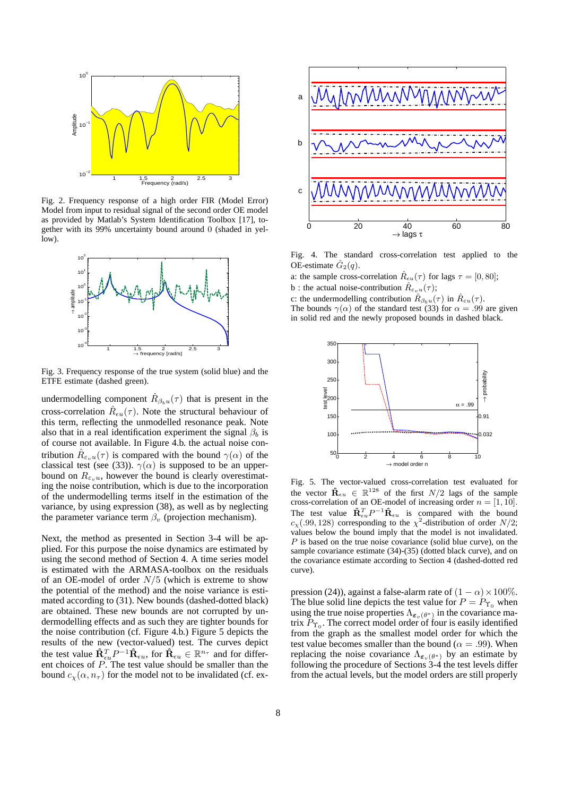

Fig. 2. Frequency response of a high order FIR (Model Error) Model from input to residual signal of the second order OE model as provided by Matlab's System Identification Toolbox [17], together with its 99% uncertainty bound around 0 (shaded in yellow).



Fig. 3. Frequency response of the true system (solid blue) and the ETFE estimate (dashed green).

undermodelling component  $\hat{R}_{\beta_b u}(\tau)$  that is present in the cross-correlation  $\hat{R}_{\epsilon u}(\tau)$ . Note the structural behaviour of this term, reflecting the unmodelled resonance peak. Note also that in a real identification experiment the signal  $\beta_b$  is of course not available. In Figure 4.b. the actual noise contribution  $R_{\varepsilon_n u}(\tau)$  is compared with the bound  $\gamma(\alpha)$  of the classical test (see (33)).  $\gamma(\alpha)$  is supposed to be an upperbound on  $R_{\varepsilon_n u}$ , however the bound is clearly overestimating the noise contribution, which is due to the incorporation of the undermodelling terms itself in the estimation of the variance, by using expression (38), as well as by neglecting the parameter variance term  $\beta_v$  (projection mechanism).

Next, the method as presented in Section 3-4 will be applied. For this purpose the noise dynamics are estimated by using the second method of Section 4. A time series model is estimated with the ARMASA-toolbox on the residuals of an OE-model of order  $N/5$  (which is extreme to show the potential of the method) and the noise variance is estimated according to (31). New bounds (dashed-dotted black) are obtained. These new bounds are not corrupted by undermodelling effects and as such they are tighter bounds for the noise contribution (cf. Figure 4.b.) Figure 5 depicts the results of the new (vector-valued) test. The curves depict the test value  $\hat{\mathbf{R}}_{\epsilon u}^T P^{-1} \hat{\mathbf{R}}_{\epsilon u}$ , for  $\hat{\mathbf{R}}_{\epsilon u} \in \mathbb{R}^{n_{\tau}}$  and for different choices of  $\overline{P}$ . The test value should be smaller than the bound  $c_{\chi}(\alpha, n_{\tau})$  for the model not to be invalidated (cf. ex-



Fig. 4. The standard cross-correlation test applied to the OE-estimate  $\tilde{G}_2(q)$ .

a: the sample cross-correlation  $\hat{R}_{\epsilon u}(\tau)$  for lags  $\tau = [0, 80]$ ; b : the actual noise-contribution  $\hat{R}_{\varepsilon \nu u}(\tau)$ ;

c: the undermodelling contribution  $\hat{R}_{\beta_b u}(\tau)$  in  $\hat{R}_{\varepsilon u}(\tau)$ . The bounds  $\gamma(\alpha)$  of the standard test (33) for  $\alpha = .99$  are given in solid red and the newly proposed bounds in dashed black.



Fig. 5. The vector-valued cross-correlation test evaluated for the vector  $\mathbf{\hat{R}}_{\epsilon u} \in \mathbb{R}^{128}$  of the first  $N/2$  lags of the sample cross-correlation of an OE-model of increasing order  $n = [1, 10]$ . The test value  $\mathbf{\hat{R}}_{\epsilon u}^T P^{-1} \mathbf{\hat{R}}_{\epsilon u}$  is compared with the bound  $c_x(.99, 128)$  corresponding to the  $\chi^2$ -distribution of order  $N/2$ ; values below the bound imply that the model is not invalidated.  $P$  is based on the true noise covariance (solid blue curve), on the sample covariance estimate (34)-(35) (dotted black curve), and on the covariance estimate according to Section 4 (dashed-dotted red curve).

pression (24)), against a false-alarm rate of  $(1 - \alpha) \times 100\%$ . The blue solid line depicts the test value for  $P = P_{\Upsilon_0}$  when using the true noise properties  $\Lambda_{\varepsilon_v(\theta^*)}$  in the covariance matrix  $P_{\Upsilon_0}$ . The correct model order of four is easily identified from the graph as the smallest model order for which the test value becomes smaller than the bound ( $\alpha = .99$ ). When replacing the noise covariance  $\Lambda_{\varepsilon_v(\theta^*)}$  by an estimate by following the procedure of Sections 3-4 the test levels differ from the actual levels, but the model orders are still properly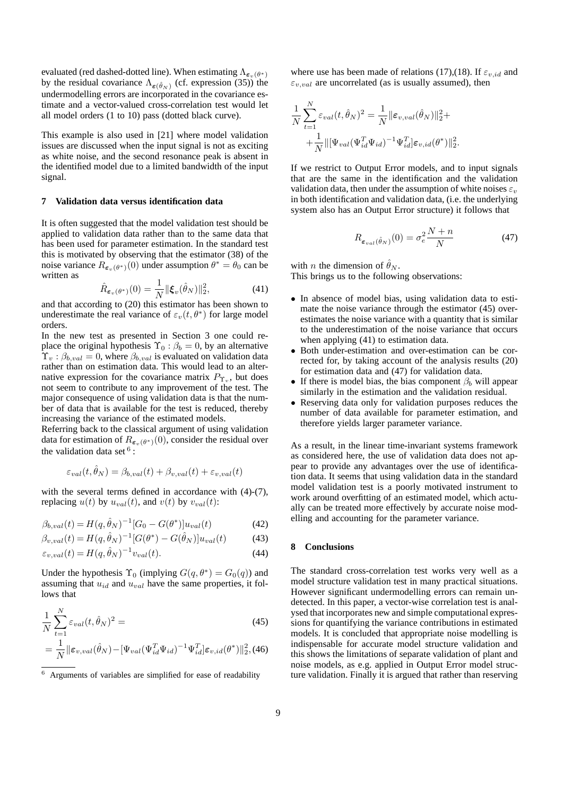evaluated (red dashed-dotted line). When estimating Λ<sub>εν</sub>(*θ*∗) by the residual covariance Λ *ρ* εν (cf. expression (35)) the by the residual covariance  $\Lambda_{\varepsilon(\hat{\theta}_N)}$  (cf. expression (35)) the undermodelling errors are incorporated in the covariance esundermodelling errors are incorporated in the covariance estimate and a vector-valued cross-correlation test would let all model orders (1 to 10) pass (dotted black curve).

This example is also used in [21] where model validation issues are discussed when the input signal is not as exciting as white noise, and the second resonance peak is absent in the identified model due to a limited bandwidth of the input signal.

## **7 Validation data versus identification data**

It is often suggested that the model validation test should be applied to validation data rather than to the same data that has been used for parameter estimation. In the standard test this is motivated by observing that the estimator (38) of the noise variance  $R_{\epsilon_v(\theta^*)}(0)$  under assumption  $\theta^* = \theta_0$  can be written as

$$
\hat{R}_{\boldsymbol{\varepsilon}_v(\boldsymbol{\theta}^*)}(0) = \frac{1}{N} ||\boldsymbol{\xi}_v(\hat{\boldsymbol{\theta}}_N)||_2^2, \tag{41}
$$

and that according to (20) this estimator has been shown to underestimate the real variance of  $\varepsilon_v(t, \theta^*)$  for large model orders.

In the new test as presented in Section 3 one could replace the original hypothesis  $\Upsilon_0 : \beta_b = 0$ , by an alternative  $\Upsilon_v : \beta_{b, val} = 0$ , where  $\beta_{b, val}$  is evaluated on validation data rather than on estimation data. This would lead to an alternative expression for the covariance matrix  $P_{\Upsilon_v}$ , but does not seem to contribute to any improvement of the test. The major consequence of using validation data is that the number of data that is available for the test is reduced, thereby increasing the variance of the estimated models.

Referring back to the classical argument of using validation data for estimation of  $R_{\epsilon_v(\theta^*)}(0)$ , consider the residual over the validation data set  $6$ :

$$
\varepsilon_{val}(t,\theta_N) = \beta_{b,val}(t) + \beta_{v,val}(t) + \varepsilon_{v,val}(t)
$$

with the several terms defined in accordance with  $(4)-(7)$ , replacing  $u(t)$  by  $u_{val}(t)$ , and  $v(t)$  by  $v_{val}(t)$ :

$$
\beta_{b, val}(t) = H(q, \hat{\theta}_N)^{-1} [G_0 - G(\theta^*)] u_{val}(t)
$$
\n(42)

$$
\beta_{v, val}(t) = H(q, \hat{\theta}_N)^{-1} [G(\theta^*) - G(\hat{\theta}_N)] u_{val}(t)
$$
(43)

$$
\varepsilon_{v, val}(t) = H(q, \hat{\theta}_N)^{-1} v_{val}(t).
$$
\n(44)

Under the hypothesis  $\Upsilon_0$  (implying  $G(q, \theta^*) = G_0(q)$ ) and assuming that  $u_{id}$  and  $u_{val}$  have the same properties, it follows that

$$
\frac{1}{N} \sum_{t=1}^{N} \varepsilon_{val}(t, \hat{\theta}_N)^2 =
$$
\n
$$
= \frac{1}{N} \|\varepsilon_{v, val}(\hat{\theta}_N) - [\Psi_{val}(\Psi_{id}^T \Psi_{id})^{-1} \Psi_{id}^T] \varepsilon_{v, id}(\theta^*)\|_2^2, (46)
$$

where use has been made of relations (17),(18). If  $\varepsilon_{v, id}$  and  $\varepsilon_{v,val}$  are uncorrelated (as is usually assumed), then

$$
\frac{1}{N} \sum_{t=1}^{N} \varepsilon_{val}(t, \hat{\theta}_{N})^{2} = \frac{1}{N} ||\varepsilon_{v, val}(\hat{\theta}_{N})||_{2}^{2} + \n+ \frac{1}{N} ||[\Psi_{val}(\Psi_{id}^{T}\Psi_{id})^{-1}\Psi_{id}^{T}]\varepsilon_{v, id}(\theta^{*})||_{2}^{2}.
$$

If we restrict to Output Error models, and to input signals that are the same in the identification and the validation validation data, then under the assumption of white noises  $\varepsilon_v$ in both identification and validation data, (i.e. the underlying system also has an Output Error structure) it follows that

$$
R_{\varepsilon_{val}(\hat{\theta}_N)}(0) = \sigma_e^2 \frac{N+n}{N} \tag{47}
$$

with *n* the dimension of  $\hat{\theta}_N$ .

This brings us to the following observations:

- In absence of model bias, using validation data to estimate the noise variance through the estimator (45) overestimates the noise variance with a quantity that is similar to the underestimation of the noise variance that occurs when applying  $(41)$  to estimation data.
- Both under-estimation and over-estimation can be corrected for, by taking account of the analysis results (20) for estimation data and (47) for validation data.
- If there is model bias, the bias component  $\beta_b$  will appear similarly in the estimation and the validation residual.
- Reserving data only for validation purposes reduces the number of data available for parameter estimation, and therefore yields larger parameter variance.

As a result, in the linear time-invariant systems framework as considered here, the use of validation data does not appear to provide any advantages over the use of identification data. It seems that using validation data in the standard model validation test is a poorly motivated instrument to work around overfitting of an estimated model, which actually can be treated more effectively by accurate noise modelling and accounting for the parameter variance.

## **8 Conclusions**

The standard cross-correlation test works very well as a model structure validation test in many practical situations. However significant undermodelling errors can remain undetected. In this paper, a vector-wise correlation test is analysed that incorporates new and simple computational expressions for quantifying the variance contributions in estimated models. It is concluded that appropriate noise modelling is indispensable for accurate model structure validation and this shows the limitations of separate validation of plant and noise models, as e.g. applied in Output Error model structure validation. Finally it is argued that rather than reserving

<sup>6</sup> Arguments of variables are simplified for ease of readability